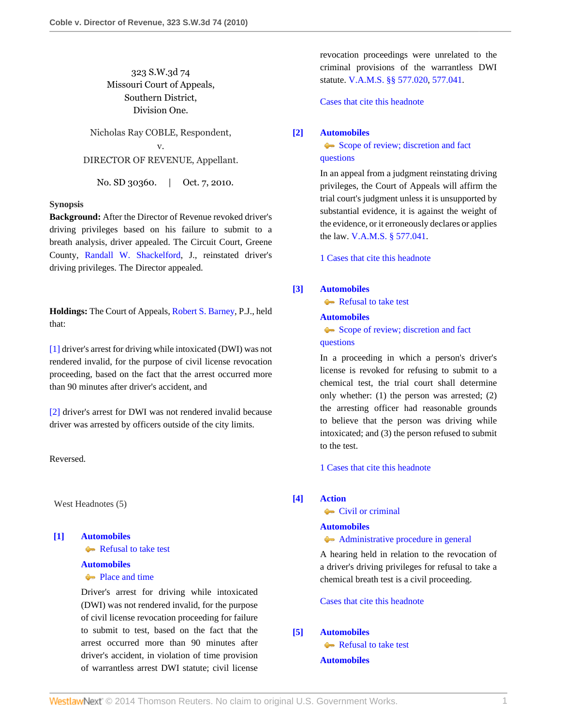323 S.W.3d 74 Missouri Court of Appeals, Southern District, Division One.

Nicholas Ray COBLE, Respondent, v. DIRECTOR OF REVENUE, Appellant.

No. SD 30360. | Oct. 7, 2010.

#### **Synopsis**

**Background:** After the Director of Revenue revoked driver's driving privileges based on his failure to submit to a breath analysis, driver appealed. The Circuit Court, Greene County, [Randall W. Shackelford](http://www.westlaw.com/Link/Document/FullText?findType=h&pubNum=176284&cite=0289344601&originatingDoc=I4351faccd54511df952c80d2993fba83&refType=RQ&originationContext=document&vr=3.0&rs=cblt1.0&transitionType=DocumentItem&contextData=(sc.Search)), J., reinstated driver's driving privileges. The Director appealed.

**Holdings:** The Court of Appeals, [Robert S. Barney](http://www.westlaw.com/Link/Document/FullText?findType=h&pubNum=176284&cite=0188772501&originatingDoc=I4351faccd54511df952c80d2993fba83&refType=RQ&originationContext=document&vr=3.0&rs=cblt1.0&transitionType=DocumentItem&contextData=(sc.Search)), P.J., held that:

[\[1\]](#page-0-0) driver's arrest for driving while intoxicated (DWI) was not rendered invalid, for the purpose of civil license revocation proceeding, based on the fact that the arrest occurred more than 90 minutes after driver's accident, and

[\[2\]](#page-0-1) driver's arrest for DWI was not rendered invalid because driver was arrested by officers outside of the city limits.

Reversed.

West Headnotes (5)

# <span id="page-0-0"></span>**[\[1\]](#page-2-0) [Automobiles](http://www.westlaw.com/Browse/Home/KeyNumber/48A/View.html?docGuid=I4351faccd54511df952c80d2993fba83&originationContext=document&vr=3.0&rs=cblt1.0&transitionType=DocumentItem&contextData=(sc.Search))**

[Refusal to take test](http://www.westlaw.com/Browse/Home/KeyNumber/48Ak144.1(1.20)/View.html?docGuid=I4351faccd54511df952c80d2993fba83&originationContext=document&vr=3.0&rs=cblt1.0&transitionType=DocumentItem&contextData=(sc.Search))

## **[Automobiles](http://www.westlaw.com/Browse/Home/KeyNumber/48A/View.html?docGuid=I4351faccd54511df952c80d2993fba83&originationContext=document&vr=3.0&rs=cblt1.0&transitionType=DocumentItem&contextData=(sc.Search))**

• [Place and time](http://www.westlaw.com/Browse/Home/KeyNumber/48Ak349(12)/View.html?docGuid=I4351faccd54511df952c80d2993fba83&originationContext=document&vr=3.0&rs=cblt1.0&transitionType=DocumentItem&contextData=(sc.Search))

Driver's arrest for driving while intoxicated (DWI) was not rendered invalid, for the purpose of civil license revocation proceeding for failure to submit to test, based on the fact that the arrest occurred more than 90 minutes after driver's accident, in violation of time provision of warrantless arrest DWI statute; civil license revocation proceedings were unrelated to the criminal provisions of the warrantless DWI statute. [V.A.M.S. §§ 577.020](http://www.westlaw.com/Link/Document/FullText?findType=L&pubNum=1000229&cite=MOST577.020&originatingDoc=I4351faccd54511df952c80d2993fba83&refType=LQ&originationContext=document&vr=3.0&rs=cblt1.0&transitionType=DocumentItem&contextData=(sc.Search)), [577.041](http://www.westlaw.com/Link/Document/FullText?findType=L&pubNum=1000229&cite=MOST577.041&originatingDoc=I4351faccd54511df952c80d2993fba83&refType=LQ&originationContext=document&vr=3.0&rs=cblt1.0&transitionType=DocumentItem&contextData=(sc.Search)).

[Cases that cite this headnote](http://www.westlaw.com/Link/RelatedInformation/DocHeadnoteLink?docGuid=I4351faccd54511df952c80d2993fba83&headnoteId=202327380500120110125151102&originationContext=document&vr=3.0&rs=cblt1.0&transitionType=CitingReferences&contextData=(sc.Search))

#### <span id="page-0-2"></span>**[\[2\]](#page-2-1) [Automobiles](http://www.westlaw.com/Browse/Home/KeyNumber/48A/View.html?docGuid=I4351faccd54511df952c80d2993fba83&originationContext=document&vr=3.0&rs=cblt1.0&transitionType=DocumentItem&contextData=(sc.Search))**

[Scope of review; discretion and fact](http://www.westlaw.com/Browse/Home/KeyNumber/48Ak144.2(3)/View.html?docGuid=I4351faccd54511df952c80d2993fba83&originationContext=document&vr=3.0&rs=cblt1.0&transitionType=DocumentItem&contextData=(sc.Search)) [questions](http://www.westlaw.com/Browse/Home/KeyNumber/48Ak144.2(3)/View.html?docGuid=I4351faccd54511df952c80d2993fba83&originationContext=document&vr=3.0&rs=cblt1.0&transitionType=DocumentItem&contextData=(sc.Search))

In an appeal from a judgment reinstating driving privileges, the Court of Appeals will affirm the trial court's judgment unless it is unsupported by substantial evidence, it is against the weight of the evidence, or it erroneously declares or applies the law. [V.A.M.S. § 577.041](http://www.westlaw.com/Link/Document/FullText?findType=L&pubNum=1000229&cite=MOST577.041&originatingDoc=I4351faccd54511df952c80d2993fba83&refType=LQ&originationContext=document&vr=3.0&rs=cblt1.0&transitionType=DocumentItem&contextData=(sc.Search)).

[1 Cases that cite this headnote](http://www.westlaw.com/Link/RelatedInformation/DocHeadnoteLink?docGuid=I4351faccd54511df952c80d2993fba83&headnoteId=202327380500220110125151102&originationContext=document&vr=3.0&rs=cblt1.0&transitionType=CitingReferences&contextData=(sc.Search))

## <span id="page-0-3"></span>**[\[3\]](#page-2-2) [Automobiles](http://www.westlaw.com/Browse/Home/KeyNumber/48A/View.html?docGuid=I4351faccd54511df952c80d2993fba83&originationContext=document&vr=3.0&rs=cblt1.0&transitionType=DocumentItem&contextData=(sc.Search))**

[Refusal to take test](http://www.westlaw.com/Browse/Home/KeyNumber/48Ak144.1(1.20)/View.html?docGuid=I4351faccd54511df952c80d2993fba83&originationContext=document&vr=3.0&rs=cblt1.0&transitionType=DocumentItem&contextData=(sc.Search))

#### **[Automobiles](http://www.westlaw.com/Browse/Home/KeyNumber/48A/View.html?docGuid=I4351faccd54511df952c80d2993fba83&originationContext=document&vr=3.0&rs=cblt1.0&transitionType=DocumentItem&contextData=(sc.Search))**

[Scope of review; discretion and fact](http://www.westlaw.com/Browse/Home/KeyNumber/48Ak144.2(3)/View.html?docGuid=I4351faccd54511df952c80d2993fba83&originationContext=document&vr=3.0&rs=cblt1.0&transitionType=DocumentItem&contextData=(sc.Search)) [questions](http://www.westlaw.com/Browse/Home/KeyNumber/48Ak144.2(3)/View.html?docGuid=I4351faccd54511df952c80d2993fba83&originationContext=document&vr=3.0&rs=cblt1.0&transitionType=DocumentItem&contextData=(sc.Search))

In a proceeding in which a person's driver's license is revoked for refusing to submit to a chemical test, the trial court shall determine only whether: (1) the person was arrested; (2) the arresting officer had reasonable grounds to believe that the person was driving while intoxicated; and (3) the person refused to submit to the test.

[1 Cases that cite this headnote](http://www.westlaw.com/Link/RelatedInformation/DocHeadnoteLink?docGuid=I4351faccd54511df952c80d2993fba83&headnoteId=202327380500320110125151102&originationContext=document&vr=3.0&rs=cblt1.0&transitionType=CitingReferences&contextData=(sc.Search))

## <span id="page-0-4"></span>**[\[4\]](#page-2-3) [Action](http://www.westlaw.com/Browse/Home/KeyNumber/13/View.html?docGuid=I4351faccd54511df952c80d2993fba83&originationContext=document&vr=3.0&rs=cblt1.0&transitionType=DocumentItem&contextData=(sc.Search))**

[Civil or criminal](http://www.westlaw.com/Browse/Home/KeyNumber/13k18/View.html?docGuid=I4351faccd54511df952c80d2993fba83&originationContext=document&vr=3.0&rs=cblt1.0&transitionType=DocumentItem&contextData=(sc.Search))

#### **[Automobiles](http://www.westlaw.com/Browse/Home/KeyNumber/48A/View.html?docGuid=I4351faccd54511df952c80d2993fba83&originationContext=document&vr=3.0&rs=cblt1.0&transitionType=DocumentItem&contextData=(sc.Search))**

[Administrative procedure in general](http://www.westlaw.com/Browse/Home/KeyNumber/48Ak144.2(1)/View.html?docGuid=I4351faccd54511df952c80d2993fba83&originationContext=document&vr=3.0&rs=cblt1.0&transitionType=DocumentItem&contextData=(sc.Search))

A hearing held in relation to the revocation of a driver's driving privileges for refusal to take a chemical breath test is a civil proceeding.

[Cases that cite this headnote](http://www.westlaw.com/Link/RelatedInformation/DocHeadnoteLink?docGuid=I4351faccd54511df952c80d2993fba83&headnoteId=202327380500420110125151102&originationContext=document&vr=3.0&rs=cblt1.0&transitionType=CitingReferences&contextData=(sc.Search))

<span id="page-0-1"></span>**[\[5\]](#page-3-0) [Automobiles](http://www.westlaw.com/Browse/Home/KeyNumber/48A/View.html?docGuid=I4351faccd54511df952c80d2993fba83&originationContext=document&vr=3.0&rs=cblt1.0&transitionType=DocumentItem&contextData=(sc.Search))**

[Refusal to take test](http://www.westlaw.com/Browse/Home/KeyNumber/48Ak144.1(1.20)/View.html?docGuid=I4351faccd54511df952c80d2993fba83&originationContext=document&vr=3.0&rs=cblt1.0&transitionType=DocumentItem&contextData=(sc.Search)) **[Automobiles](http://www.westlaw.com/Browse/Home/KeyNumber/48A/View.html?docGuid=I4351faccd54511df952c80d2993fba83&originationContext=document&vr=3.0&rs=cblt1.0&transitionType=DocumentItem&contextData=(sc.Search))**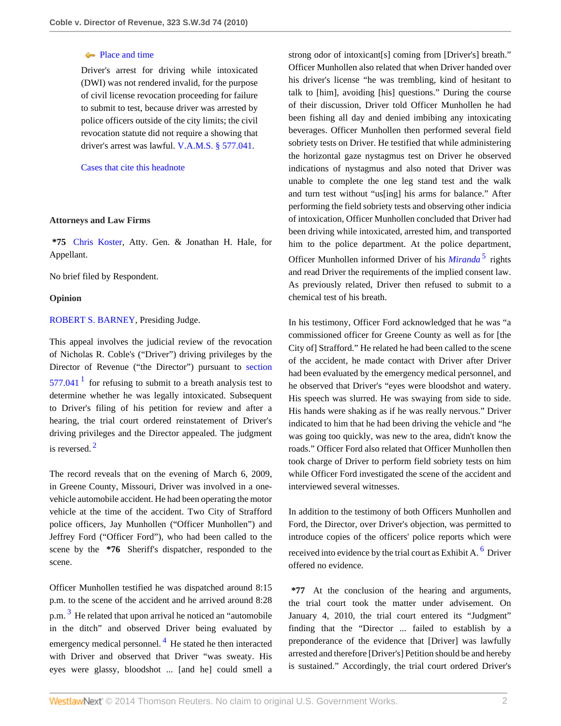### • [Place and time](http://www.westlaw.com/Browse/Home/KeyNumber/48Ak349(12)/View.html?docGuid=I4351faccd54511df952c80d2993fba83&originationContext=document&vr=3.0&rs=cblt1.0&transitionType=DocumentItem&contextData=(sc.Search))

Driver's arrest for driving while intoxicated (DWI) was not rendered invalid, for the purpose of civil license revocation proceeding for failure to submit to test, because driver was arrested by police officers outside of the city limits; the civil revocation statute did not require a showing that driver's arrest was lawful. [V.A.M.S. § 577.041](http://www.westlaw.com/Link/Document/FullText?findType=L&pubNum=1000229&cite=MOST577.041&originatingDoc=I4351faccd54511df952c80d2993fba83&refType=LQ&originationContext=document&vr=3.0&rs=cblt1.0&transitionType=DocumentItem&contextData=(sc.Search)).

[Cases that cite this headnote](http://www.westlaw.com/Link/RelatedInformation/DocHeadnoteLink?docGuid=I4351faccd54511df952c80d2993fba83&headnoteId=202327380500520110125151102&originationContext=document&vr=3.0&rs=cblt1.0&transitionType=CitingReferences&contextData=(sc.Search))

#### **Attorneys and Law Firms**

**\*75** [Chris Koster](http://www.westlaw.com/Link/Document/FullText?findType=h&pubNum=176284&cite=0369913201&originatingDoc=I4351faccd54511df952c80d2993fba83&refType=RQ&originationContext=document&vr=3.0&rs=cblt1.0&transitionType=DocumentItem&contextData=(sc.Search)), Atty. Gen. & Jonathan H. Hale, for Appellant.

No brief filed by Respondent.

#### **Opinion**

#### [ROBERT S. BARNEY,](http://www.westlaw.com/Link/Document/FullText?findType=h&pubNum=176284&cite=0188772501&originatingDoc=I4351faccd54511df952c80d2993fba83&refType=RQ&originationContext=document&vr=3.0&rs=cblt1.0&transitionType=DocumentItem&contextData=(sc.Search)) Presiding Judge.

<span id="page-1-0"></span>This appeal involves the judicial review of the revocation of Nicholas R. Coble's ("Driver") driving privileges by the Director of Revenue ("the Director") pursuant to [section](http://www.westlaw.com/Link/Document/FullText?findType=L&pubNum=1000229&cite=MOST577.041&originatingDoc=I4351faccd54511df952c80d2993fba83&refType=LQ&originationContext=document&vr=3.0&rs=cblt1.0&transitionType=DocumentItem&contextData=(sc.Search))  $577.041<sup>1</sup>$  $577.041<sup>1</sup>$  $577.041<sup>1</sup>$  $577.041<sup>1</sup>$  for refusing to submit to a breath analysis test to determine whether he was legally intoxicated. Subsequent to Driver's filing of his petition for review and after a hearing, the trial court ordered reinstatement of Driver's driving privileges and the Director appealed. The judgment is reversed. [2](#page-3-2)

<span id="page-1-1"></span>The record reveals that on the evening of March 6, 2009, in Greene County, Missouri, Driver was involved in a onevehicle automobile accident. He had been operating the motor vehicle at the time of the accident. Two City of Strafford police officers, Jay Munhollen ("Officer Munhollen") and Jeffrey Ford ("Officer Ford"), who had been called to the scene by the **\*76** Sheriff's dispatcher, responded to the scene.

<span id="page-1-3"></span><span id="page-1-2"></span>Officer Munhollen testified he was dispatched around 8:15 p.m. to the scene of the accident and he arrived around 8:28 p.m.<sup>[3](#page-3-3)</sup> He related that upon arrival he noticed an "automobile in the ditch" and observed Driver being evaluated by emergency medical personnel. <sup>[4](#page-3-4)</sup> He stated he then interacted with Driver and observed that Driver "was sweaty. His eyes were glassy, bloodshot ... [and he] could smell a strong odor of intoxicant[s] coming from [Driver's] breath." Officer Munhollen also related that when Driver handed over his driver's license "he was trembling, kind of hesitant to talk to [him], avoiding [his] questions." During the course of their discussion, Driver told Officer Munhollen he had been fishing all day and denied imbibing any intoxicating beverages. Officer Munhollen then performed several field sobriety tests on Driver. He testified that while administering the horizontal gaze nystagmus test on Driver he observed indications of nystagmus and also noted that Driver was unable to complete the one leg stand test and the walk and turn test without "us[ing] his arms for balance." After performing the field sobriety tests and observing other indicia of intoxication, Officer Munhollen concluded that Driver had been driving while intoxicated, arrested him, and transported him to the police department. At the police department, Officer Munhollen informed Driver of his *[Miranda](http://www.westlaw.com/Link/Document/FullText?findType=Y&serNum=1966131580&originationContext=document&vr=3.0&rs=cblt1.0&transitionType=DocumentItem&contextData=(sc.Search))*<sup>[5](#page-3-5)</sup> rights and read Driver the requirements of the implied consent law. As previously related, Driver then refused to submit to a chemical test of his breath.

<span id="page-1-4"></span>In his testimony, Officer Ford acknowledged that he was "a commissioned officer for Greene County as well as for [the City of] Strafford." He related he had been called to the scene of the accident, he made contact with Driver after Driver had been evaluated by the emergency medical personnel, and he observed that Driver's "eyes were bloodshot and watery. His speech was slurred. He was swaying from side to side. His hands were shaking as if he was really nervous." Driver indicated to him that he had been driving the vehicle and "he was going too quickly, was new to the area, didn't know the roads." Officer Ford also related that Officer Munhollen then took charge of Driver to perform field sobriety tests on him while Officer Ford investigated the scene of the accident and interviewed several witnesses.

<span id="page-1-5"></span>In addition to the testimony of both Officers Munhollen and Ford, the Director, over Driver's objection, was permitted to introduce copies of the officers' police reports which were received into evidence by the trial court as Exhibit A. <sup>[6](#page-4-0)</sup> Driver offered no evidence.

**\*77** At the conclusion of the hearing and arguments, the trial court took the matter under advisement. On January 4, 2010, the trial court entered its "Judgment" finding that the "Director ... failed to establish by a preponderance of the evidence that [Driver] was lawfully arrested and therefore [Driver's] Petition should be and hereby is sustained." Accordingly, the trial court ordered Driver's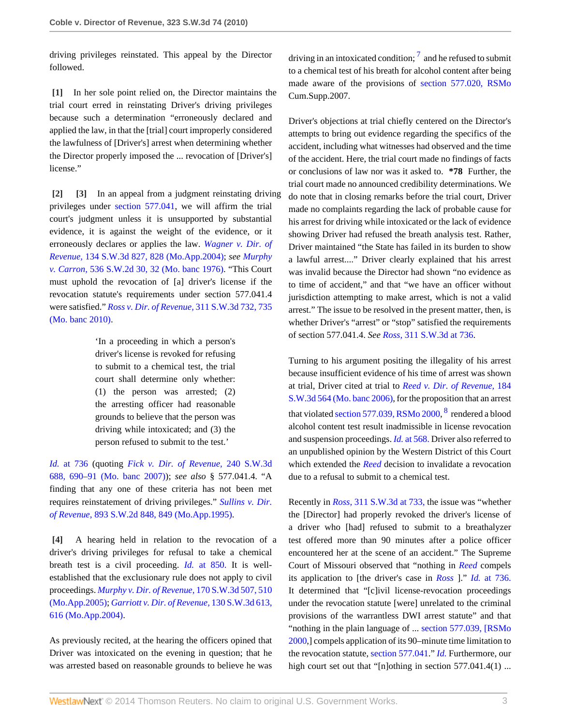driving privileges reinstated. This appeal by the Director followed.

<span id="page-2-0"></span>**[\[1\]](#page-0-0)** In her sole point relied on, the Director maintains the trial court erred in reinstating Driver's driving privileges because such a determination "erroneously declared and applied the law, in that the [trial] court improperly considered the lawfulness of [Driver's] arrest when determining whether the Director properly imposed the ... revocation of [Driver's] license."

<span id="page-2-2"></span><span id="page-2-1"></span>**[\[2\]](#page-0-2) [\[3\]](#page-0-3)** In an appeal from a judgment reinstating driving privileges under [section 577.041,](http://www.westlaw.com/Link/Document/FullText?findType=L&pubNum=1000229&cite=MOST577.041&originatingDoc=I4351faccd54511df952c80d2993fba83&refType=LQ&originationContext=document&vr=3.0&rs=cblt1.0&transitionType=DocumentItem&contextData=(sc.Search)) we will affirm the trial court's judgment unless it is unsupported by substantial evidence, it is against the weight of the evidence, or it erroneously declares or applies the law. *[Wagner v. Dir. of](http://www.westlaw.com/Link/Document/FullText?findType=Y&serNum=2004528414&pubNum=4644&fi=co_pp_sp_4644_828&originationContext=document&vr=3.0&rs=cblt1.0&transitionType=DocumentItem&contextData=(sc.Search)#co_pp_sp_4644_828) Revenue,* [134 S.W.3d 827, 828 \(Mo.App.2004\)](http://www.westlaw.com/Link/Document/FullText?findType=Y&serNum=2004528414&pubNum=4644&fi=co_pp_sp_4644_828&originationContext=document&vr=3.0&rs=cblt1.0&transitionType=DocumentItem&contextData=(sc.Search)#co_pp_sp_4644_828); *see [Murphy](http://www.westlaw.com/Link/Document/FullText?findType=Y&serNum=1976117479&pubNum=713&fi=co_pp_sp_713_32&originationContext=document&vr=3.0&rs=cblt1.0&transitionType=DocumentItem&contextData=(sc.Search)#co_pp_sp_713_32) v. Carron,* [536 S.W.2d 30, 32 \(Mo. banc 1976\)](http://www.westlaw.com/Link/Document/FullText?findType=Y&serNum=1976117479&pubNum=713&fi=co_pp_sp_713_32&originationContext=document&vr=3.0&rs=cblt1.0&transitionType=DocumentItem&contextData=(sc.Search)#co_pp_sp_713_32). "This Court must uphold the revocation of [a] driver's license if the revocation statute's requirements under section 577.041.4 were satisfied." *[Ross v. Dir. of Revenue,](http://www.westlaw.com/Link/Document/FullText?findType=Y&serNum=2021323372&pubNum=4644&fi=co_pp_sp_4644_735&originationContext=document&vr=3.0&rs=cblt1.0&transitionType=DocumentItem&contextData=(sc.Search)#co_pp_sp_4644_735)* 311 S.W.3d 732, 735 [\(Mo. banc 2010\).](http://www.westlaw.com/Link/Document/FullText?findType=Y&serNum=2021323372&pubNum=4644&fi=co_pp_sp_4644_735&originationContext=document&vr=3.0&rs=cblt1.0&transitionType=DocumentItem&contextData=(sc.Search)#co_pp_sp_4644_735)

> 'In a proceeding in which a person's driver's license is revoked for refusing to submit to a chemical test, the trial court shall determine only whether: (1) the person was arrested; (2) the arresting officer had reasonable grounds to believe that the person was driving while intoxicated; and (3) the person refused to submit to the test.'

*Id.* [at 736](http://www.westlaw.com/Link/Document/FullText?findType=Y&serNum=2021323372&originationContext=document&vr=3.0&rs=cblt1.0&transitionType=DocumentItem&contextData=(sc.Search)) (quoting *[Fick v. Dir. of Revenue,](http://www.westlaw.com/Link/Document/FullText?findType=Y&serNum=2014387174&pubNum=4644&fi=co_pp_sp_4644_690&originationContext=document&vr=3.0&rs=cblt1.0&transitionType=DocumentItem&contextData=(sc.Search)#co_pp_sp_4644_690)* 240 S.W.3d [688, 690–91 \(Mo. banc 2007\)\)](http://www.westlaw.com/Link/Document/FullText?findType=Y&serNum=2014387174&pubNum=4644&fi=co_pp_sp_4644_690&originationContext=document&vr=3.0&rs=cblt1.0&transitionType=DocumentItem&contextData=(sc.Search)#co_pp_sp_4644_690); *see also* § 577.041.4. "A finding that any one of these criteria has not been met requires reinstatement of driving privileges." *[Sullins v. Dir.](http://www.westlaw.com/Link/Document/FullText?findType=Y&serNum=1995047981&pubNum=713&fi=co_pp_sp_713_849&originationContext=document&vr=3.0&rs=cblt1.0&transitionType=DocumentItem&contextData=(sc.Search)#co_pp_sp_713_849) of Revenue,* [893 S.W.2d 848, 849 \(Mo.App.1995\)](http://www.westlaw.com/Link/Document/FullText?findType=Y&serNum=1995047981&pubNum=713&fi=co_pp_sp_713_849&originationContext=document&vr=3.0&rs=cblt1.0&transitionType=DocumentItem&contextData=(sc.Search)#co_pp_sp_713_849).

<span id="page-2-3"></span>**[\[4\]](#page-0-4)** A hearing held in relation to the revocation of a driver's driving privileges for refusal to take a chemical breath test is a civil proceeding. *Id.* [at 850.](http://www.westlaw.com/Link/Document/FullText?findType=Y&serNum=1995047981&originationContext=document&vr=3.0&rs=cblt1.0&transitionType=DocumentItem&contextData=(sc.Search)) It is wellestablished that the exclusionary rule does not apply to civil proceedings. *[Murphy v. Dir. of Revenue,](http://www.westlaw.com/Link/Document/FullText?findType=Y&serNum=2006824493&pubNum=4644&fi=co_pp_sp_4644_510&originationContext=document&vr=3.0&rs=cblt1.0&transitionType=DocumentItem&contextData=(sc.Search)#co_pp_sp_4644_510)* 170 S.W.3d 507, 510 [\(Mo.App.2005\);](http://www.westlaw.com/Link/Document/FullText?findType=Y&serNum=2006824493&pubNum=4644&fi=co_pp_sp_4644_510&originationContext=document&vr=3.0&rs=cblt1.0&transitionType=DocumentItem&contextData=(sc.Search)#co_pp_sp_4644_510) *[Garriott v. Dir. of Revenue,](http://www.westlaw.com/Link/Document/FullText?findType=Y&serNum=2004087807&pubNum=4644&fi=co_pp_sp_4644_616&originationContext=document&vr=3.0&rs=cblt1.0&transitionType=DocumentItem&contextData=(sc.Search)#co_pp_sp_4644_616)* 130 S.W.3d 613, [616 \(Mo.App.2004\)](http://www.westlaw.com/Link/Document/FullText?findType=Y&serNum=2004087807&pubNum=4644&fi=co_pp_sp_4644_616&originationContext=document&vr=3.0&rs=cblt1.0&transitionType=DocumentItem&contextData=(sc.Search)#co_pp_sp_4644_616).

As previously recited, at the hearing the officers opined that Driver was intoxicated on the evening in question; that he was arrested based on reasonable grounds to believe he was

<span id="page-2-4"></span>driving in an intoxicated condition;  $\frac{7}{1}$  $\frac{7}{1}$  $\frac{7}{1}$  and he refused to submit to a chemical test of his breath for alcohol content after being made aware of the provisions of [section 577.020, RSMo](http://www.westlaw.com/Link/Document/FullText?findType=L&pubNum=1000229&cite=MOST577.020&originatingDoc=I4351faccd54511df952c80d2993fba83&refType=LQ&originationContext=document&vr=3.0&rs=cblt1.0&transitionType=DocumentItem&contextData=(sc.Search)) Cum.Supp.2007.

Driver's objections at trial chiefly centered on the Director's attempts to bring out evidence regarding the specifics of the accident, including what witnesses had observed and the time of the accident. Here, the trial court made no findings of facts or conclusions of law nor was it asked to. **\*78** Further, the trial court made no announced credibility determinations. We do note that in closing remarks before the trial court, Driver made no complaints regarding the lack of probable cause for his arrest for driving while intoxicated or the lack of evidence showing Driver had refused the breath analysis test. Rather, Driver maintained "the State has failed in its burden to show a lawful arrest...." Driver clearly explained that his arrest was invalid because the Director had shown "no evidence as to time of accident," and that "we have an officer without jurisdiction attempting to make arrest, which is not a valid arrest." The issue to be resolved in the present matter, then, is whether Driver's "arrest" or "stop" satisfied the requirements of section 577.041.4. *See Ross,* [311 S.W.3d at 736.](http://www.westlaw.com/Link/Document/FullText?findType=Y&serNum=2021323372&pubNum=4644&fi=co_pp_sp_4644_736&originationContext=document&vr=3.0&rs=cblt1.0&transitionType=DocumentItem&contextData=(sc.Search)#co_pp_sp_4644_736)

<span id="page-2-5"></span>Turning to his argument positing the illegality of his arrest because insufficient evidence of his time of arrest was shown at trial, Driver cited at trial to *[Reed v. Dir. of Revenue,](http://www.westlaw.com/Link/Document/FullText?findType=Y&serNum=2008409685&pubNum=4644&originationContext=document&vr=3.0&rs=cblt1.0&transitionType=DocumentItem&contextData=(sc.Search))* 184 [S.W.3d 564 \(Mo. banc 2006\),](http://www.westlaw.com/Link/Document/FullText?findType=Y&serNum=2008409685&pubNum=4644&originationContext=document&vr=3.0&rs=cblt1.0&transitionType=DocumentItem&contextData=(sc.Search)) for the proposition that an arrest that violated [section 577.039, RSMo 2000,](http://www.westlaw.com/Link/Document/FullText?findType=L&pubNum=1000229&cite=MOST577.039&originatingDoc=I4351faccd54511df952c80d2993fba83&refType=LQ&originationContext=document&vr=3.0&rs=cblt1.0&transitionType=DocumentItem&contextData=(sc.Search))  $^8$  $^8$  rendered a blood alcohol content test result inadmissible in license revocation and suspension proceedings. *Id.* [at 568.](http://www.westlaw.com/Link/Document/FullText?findType=Y&serNum=2008409685&originationContext=document&vr=3.0&rs=cblt1.0&transitionType=DocumentItem&contextData=(sc.Search)) Driver also referred to an unpublished opinion by the Western District of this Court which extended the *[Reed](http://www.westlaw.com/Link/Document/FullText?findType=Y&serNum=2008409685&originationContext=document&vr=3.0&rs=cblt1.0&transitionType=DocumentItem&contextData=(sc.Search))* decision to invalidate a revocation due to a refusal to submit to a chemical test.

Recently in *Ross,* [311 S.W.3d at 733,](http://www.westlaw.com/Link/Document/FullText?findType=Y&serNum=2021323372&pubNum=4644&fi=co_pp_sp_4644_733&originationContext=document&vr=3.0&rs=cblt1.0&transitionType=DocumentItem&contextData=(sc.Search)#co_pp_sp_4644_733) the issue was "whether the [Director] had properly revoked the driver's license of a driver who [had] refused to submit to a breathalyzer test offered more than 90 minutes after a police officer encountered her at the scene of an accident." The Supreme Court of Missouri observed that "nothing in *[Reed](http://www.westlaw.com/Link/Document/FullText?findType=Y&serNum=2008409685&originationContext=document&vr=3.0&rs=cblt1.0&transitionType=DocumentItem&contextData=(sc.Search))* compels its application to [the driver's case in *[Ross](http://www.westlaw.com/Link/Document/FullText?findType=Y&serNum=2021323372&originationContext=document&vr=3.0&rs=cblt1.0&transitionType=DocumentItem&contextData=(sc.Search))* ]." *Id.* [at 736.](http://www.westlaw.com/Link/Document/FullText?findType=Y&serNum=2021323372&originationContext=document&vr=3.0&rs=cblt1.0&transitionType=DocumentItem&contextData=(sc.Search)) It determined that "[c]ivil license-revocation proceedings under the revocation statute [were] unrelated to the criminal provisions of the warrantless DWI arrest statute" and that "nothing in the plain language of ... [section 577.039, \[RSMo](http://www.westlaw.com/Link/Document/FullText?findType=L&pubNum=1000229&cite=MOST577.039&originatingDoc=I4351faccd54511df952c80d2993fba83&refType=LQ&originationContext=document&vr=3.0&rs=cblt1.0&transitionType=DocumentItem&contextData=(sc.Search)) [2000](http://www.westlaw.com/Link/Document/FullText?findType=L&pubNum=1000229&cite=MOST577.039&originatingDoc=I4351faccd54511df952c80d2993fba83&refType=LQ&originationContext=document&vr=3.0&rs=cblt1.0&transitionType=DocumentItem&contextData=(sc.Search)),] compels application of its 90–minute time limitation to the revocation statute, [section 577.041.](http://www.westlaw.com/Link/Document/FullText?findType=L&pubNum=1000229&cite=MOST577.041&originatingDoc=I4351faccd54511df952c80d2993fba83&refType=LQ&originationContext=document&vr=3.0&rs=cblt1.0&transitionType=DocumentItem&contextData=(sc.Search))" *[Id.](http://www.westlaw.com/Link/Document/FullText?findType=Y&serNum=2021323372&originationContext=document&vr=3.0&rs=cblt1.0&transitionType=DocumentItem&contextData=(sc.Search))* Furthermore, our high court set out that "[n]othing in section 577.041.4(1) ...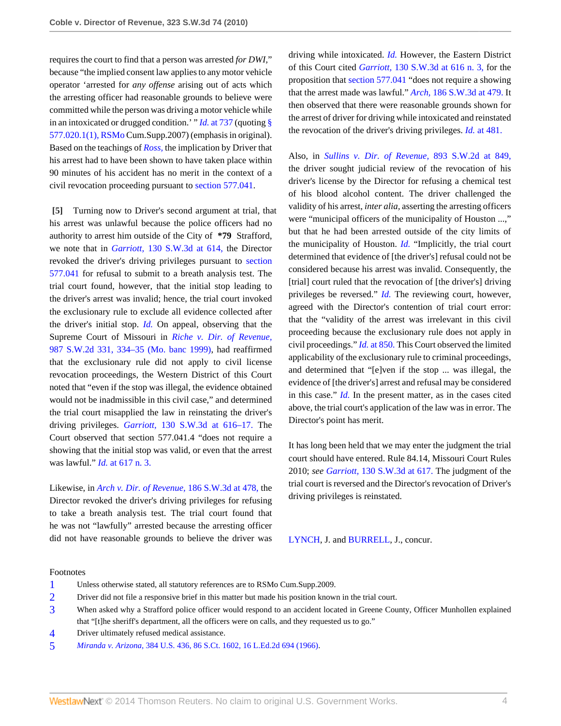requires the court to find that a person was arrested *for DWI,*" because "the implied consent law applies to any motor vehicle operator 'arrested for *any offense* arising out of acts which the arresting officer had reasonable grounds to believe were committed while the person was driving a motor vehicle while in an intoxicated or drugged condition.' " *Id.* [at 737](http://www.westlaw.com/Link/Document/FullText?findType=Y&serNum=2021323372&originationContext=document&vr=3.0&rs=cblt1.0&transitionType=DocumentItem&contextData=(sc.Search)) (quoting [§](http://www.westlaw.com/Link/Document/FullText?findType=L&pubNum=1000229&cite=MOST577.020&originatingDoc=I4351faccd54511df952c80d2993fba83&refType=LQ&originationContext=document&vr=3.0&rs=cblt1.0&transitionType=DocumentItem&contextData=(sc.Search)) [577.020.1\(1\), RSMo](http://www.westlaw.com/Link/Document/FullText?findType=L&pubNum=1000229&cite=MOST577.020&originatingDoc=I4351faccd54511df952c80d2993fba83&refType=LQ&originationContext=document&vr=3.0&rs=cblt1.0&transitionType=DocumentItem&contextData=(sc.Search)) Cum.Supp.2007) (emphasis in original). Based on the teachings of *[Ross,](http://www.westlaw.com/Link/Document/FullText?findType=Y&serNum=2021323372&originationContext=document&vr=3.0&rs=cblt1.0&transitionType=DocumentItem&contextData=(sc.Search))* the implication by Driver that his arrest had to have been shown to have taken place within 90 minutes of his accident has no merit in the context of a civil revocation proceeding pursuant to [section 577.041](http://www.westlaw.com/Link/Document/FullText?findType=L&pubNum=1000229&cite=MOST577.041&originatingDoc=I4351faccd54511df952c80d2993fba83&refType=LQ&originationContext=document&vr=3.0&rs=cblt1.0&transitionType=DocumentItem&contextData=(sc.Search)).

<span id="page-3-0"></span>**[\[5\]](#page-0-1)** Turning now to Driver's second argument at trial, that his arrest was unlawful because the police officers had no authority to arrest him outside of the City of **\*79** Strafford, we note that in *Garriott,* [130 S.W.3d at 614,](http://www.westlaw.com/Link/Document/FullText?findType=Y&serNum=2004087807&pubNum=4644&fi=co_pp_sp_4644_614&originationContext=document&vr=3.0&rs=cblt1.0&transitionType=DocumentItem&contextData=(sc.Search)#co_pp_sp_4644_614) the Director revoked the driver's driving privileges pursuant to [section](http://www.westlaw.com/Link/Document/FullText?findType=L&pubNum=1000229&cite=MOST577.041&originatingDoc=I4351faccd54511df952c80d2993fba83&refType=LQ&originationContext=document&vr=3.0&rs=cblt1.0&transitionType=DocumentItem&contextData=(sc.Search)) [577.041](http://www.westlaw.com/Link/Document/FullText?findType=L&pubNum=1000229&cite=MOST577.041&originatingDoc=I4351faccd54511df952c80d2993fba83&refType=LQ&originationContext=document&vr=3.0&rs=cblt1.0&transitionType=DocumentItem&contextData=(sc.Search)) for refusal to submit to a breath analysis test. The trial court found, however, that the initial stop leading to the driver's arrest was invalid; hence, the trial court invoked the exclusionary rule to exclude all evidence collected after the driver's initial stop. *[Id.](http://www.westlaw.com/Link/Document/FullText?findType=Y&serNum=2004087807&originationContext=document&vr=3.0&rs=cblt1.0&transitionType=DocumentItem&contextData=(sc.Search))* On appeal, observing that the Supreme Court of Missouri in *[Riche v. Dir. of Revenue,](http://www.westlaw.com/Link/Document/FullText?findType=Y&serNum=1999061871&pubNum=713&fi=co_pp_sp_713_334&originationContext=document&vr=3.0&rs=cblt1.0&transitionType=DocumentItem&contextData=(sc.Search)#co_pp_sp_713_334)* [987 S.W.2d 331, 334–35 \(Mo. banc 1999\),](http://www.westlaw.com/Link/Document/FullText?findType=Y&serNum=1999061871&pubNum=713&fi=co_pp_sp_713_334&originationContext=document&vr=3.0&rs=cblt1.0&transitionType=DocumentItem&contextData=(sc.Search)#co_pp_sp_713_334) had reaffirmed that the exclusionary rule did not apply to civil license revocation proceedings, the Western District of this Court noted that "even if the stop was illegal, the evidence obtained would not be inadmissible in this civil case," and determined the trial court misapplied the law in reinstating the driver's driving privileges. *Garriott,* [130 S.W.3d at 616–17.](http://www.westlaw.com/Link/Document/FullText?findType=Y&serNum=2004087807&pubNum=4644&fi=co_pp_sp_4644_616&originationContext=document&vr=3.0&rs=cblt1.0&transitionType=DocumentItem&contextData=(sc.Search)#co_pp_sp_4644_616) The Court observed that section 577.041.4 "does not require a showing that the initial stop was valid, or even that the arrest was lawful." *Id.* [at 617 n. 3.](http://www.westlaw.com/Link/Document/FullText?findType=Y&serNum=2004087807&originationContext=document&vr=3.0&rs=cblt1.0&transitionType=DocumentItem&contextData=(sc.Search))

Likewise, in *[Arch v. Dir. of Revenue,](http://www.westlaw.com/Link/Document/FullText?findType=Y&serNum=2008725193&pubNum=4644&fi=co_pp_sp_4644_478&originationContext=document&vr=3.0&rs=cblt1.0&transitionType=DocumentItem&contextData=(sc.Search)#co_pp_sp_4644_478)* 186 S.W.3d at 478, the Director revoked the driver's driving privileges for refusing to take a breath analysis test. The trial court found that he was not "lawfully" arrested because the arresting officer did not have reasonable grounds to believe the driver was driving while intoxicated. *[Id.](http://www.westlaw.com/Link/Document/FullText?findType=Y&serNum=2008725193&originationContext=document&vr=3.0&rs=cblt1.0&transitionType=DocumentItem&contextData=(sc.Search))* However, the Eastern District of this Court cited *Garriott,* [130 S.W.3d at 616 n. 3,](http://www.westlaw.com/Link/Document/FullText?findType=Y&serNum=2004087807&pubNum=4644&fi=co_pp_sp_4644_616&originationContext=document&vr=3.0&rs=cblt1.0&transitionType=DocumentItem&contextData=(sc.Search)#co_pp_sp_4644_616) for the proposition that [section 577.041](http://www.westlaw.com/Link/Document/FullText?findType=L&pubNum=1000229&cite=MOST577.041&originatingDoc=I4351faccd54511df952c80d2993fba83&refType=LQ&originationContext=document&vr=3.0&rs=cblt1.0&transitionType=DocumentItem&contextData=(sc.Search)) "does not require a showing that the arrest made was lawful." *Arch,* [186 S.W.3d at 479.](http://www.westlaw.com/Link/Document/FullText?findType=Y&serNum=2008725193&pubNum=4644&fi=co_pp_sp_4644_479&originationContext=document&vr=3.0&rs=cblt1.0&transitionType=DocumentItem&contextData=(sc.Search)#co_pp_sp_4644_479) It then observed that there were reasonable grounds shown for the arrest of driver for driving while intoxicated and reinstated the revocation of the driver's driving privileges. *Id.* [at 481.](http://www.westlaw.com/Link/Document/FullText?findType=Y&serNum=2008725193&originationContext=document&vr=3.0&rs=cblt1.0&transitionType=DocumentItem&contextData=(sc.Search))

Also, in *[Sullins v. Dir. of Revenue,](http://www.westlaw.com/Link/Document/FullText?findType=Y&serNum=1995047981&pubNum=713&fi=co_pp_sp_713_849&originationContext=document&vr=3.0&rs=cblt1.0&transitionType=DocumentItem&contextData=(sc.Search)#co_pp_sp_713_849)* 893 S.W.2d at 849, the driver sought judicial review of the revocation of his driver's license by the Director for refusing a chemical test of his blood alcohol content. The driver challenged the validity of his arrest, *inter alia,* asserting the arresting officers were "municipal officers of the municipality of Houston ...," but that he had been arrested outside of the city limits of the municipality of Houston. *[Id.](http://www.westlaw.com/Link/Document/FullText?findType=Y&serNum=1995047981&originationContext=document&vr=3.0&rs=cblt1.0&transitionType=DocumentItem&contextData=(sc.Search))* "Implicitly, the trial court determined that evidence of [the driver's] refusal could not be considered because his arrest was invalid. Consequently, the [trial] court ruled that the revocation of [the driver's] driving privileges be reversed." *[Id.](http://www.westlaw.com/Link/Document/FullText?findType=Y&serNum=1995047981&originationContext=document&vr=3.0&rs=cblt1.0&transitionType=DocumentItem&contextData=(sc.Search))* The reviewing court, however, agreed with the Director's contention of trial court error: that the "validity of the arrest was irrelevant in this civil proceeding because the exclusionary rule does not apply in civil proceedings." *Id.* [at 850.](http://www.westlaw.com/Link/Document/FullText?findType=Y&serNum=1995047981&originationContext=document&vr=3.0&rs=cblt1.0&transitionType=DocumentItem&contextData=(sc.Search)) This Court observed the limited applicability of the exclusionary rule to criminal proceedings, and determined that "[e]ven if the stop ... was illegal, the evidence of [the driver's] arrest and refusal may be considered in this case." *[Id.](http://www.westlaw.com/Link/Document/FullText?findType=Y&serNum=1995047981&originationContext=document&vr=3.0&rs=cblt1.0&transitionType=DocumentItem&contextData=(sc.Search))* In the present matter, as in the cases cited above, the trial court's application of the law was in error. The Director's point has merit.

It has long been held that we may enter the judgment the trial court should have entered. Rule 84.14, Missouri Court Rules 2010; *see Garriott,* [130 S.W.3d at 617.](http://www.westlaw.com/Link/Document/FullText?findType=Y&serNum=2004087807&pubNum=4644&fi=co_pp_sp_4644_617&originationContext=document&vr=3.0&rs=cblt1.0&transitionType=DocumentItem&contextData=(sc.Search)#co_pp_sp_4644_617) The judgment of the trial court is reversed and the Director's revocation of Driver's driving privileges is reinstated.

[LYNCH](http://www.westlaw.com/Link/Document/FullText?findType=h&pubNum=176284&cite=0132591401&originatingDoc=I4351faccd54511df952c80d2993fba83&refType=RQ&originationContext=document&vr=3.0&rs=cblt1.0&transitionType=DocumentItem&contextData=(sc.Search)), J. and [BURRELL,](http://www.westlaw.com/Link/Document/FullText?findType=h&pubNum=176284&cite=0235973401&originatingDoc=I4351faccd54511df952c80d2993fba83&refType=RQ&originationContext=document&vr=3.0&rs=cblt1.0&transitionType=DocumentItem&contextData=(sc.Search)) J., concur.

#### Footnotes

- <span id="page-3-1"></span>[1](#page-1-0) Unless otherwise stated, all statutory references are to RSMo Cum.Supp.2009.
- <span id="page-3-2"></span>[2](#page-1-1) Driver did not file a responsive brief in this matter but made his position known in the trial court.
- <span id="page-3-3"></span>[3](#page-1-2) When asked why a Strafford police officer would respond to an accident located in Greene County, Officer Munhollen explained that "[t]he sheriff's department, all the officers were on calls, and they requested us to go."
- <span id="page-3-4"></span>[4](#page-1-3) Driver ultimately refused medical assistance.
- <span id="page-3-5"></span>[5](#page-1-4) *Miranda v. Arizona,* [384 U.S. 436, 86 S.Ct. 1602, 16 L.Ed.2d 694 \(1966\).](http://www.westlaw.com/Link/Document/FullText?findType=Y&serNum=1966131580&pubNum=708&originationContext=document&vr=3.0&rs=cblt1.0&transitionType=DocumentItem&contextData=(sc.Search))